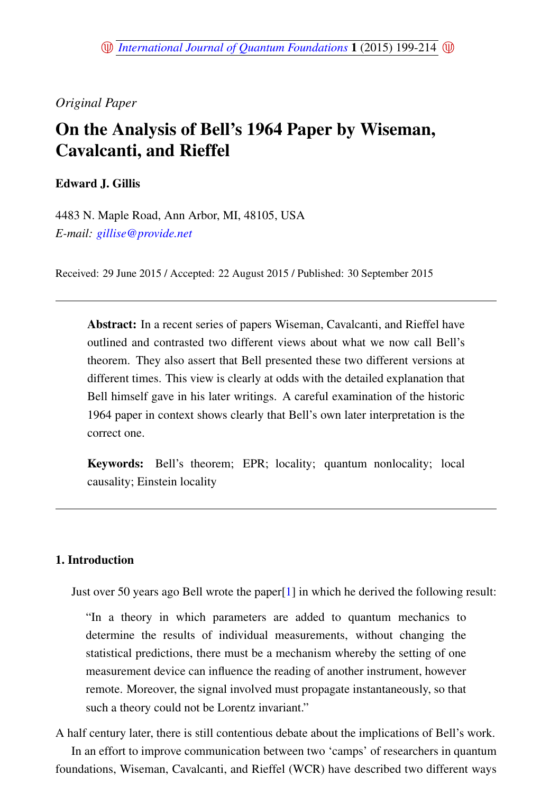## *Original Paper*

# On the Analysis of Bell's 1964 Paper by Wiseman, Cavalcanti, and Rieffel

Edward J. Gillis

4483 N. Maple Road, Ann Arbor, MI, 48105, USA *E-mail: [gillise@provide.net](mailto:gillise@provide.net)*

Received: 29 June 2015 / Accepted: 22 August 2015 / Published: 30 September 2015

Abstract: In a recent series of papers Wiseman, Cavalcanti, and Rieffel have outlined and contrasted two different views about what we now call Bell's theorem. They also assert that Bell presented these two different versions at different times. This view is clearly at odds with the detailed explanation that Bell himself gave in his later writings. A careful examination of the historic 1964 paper in context shows clearly that Bell's own later interpretation is the correct one.

Keywords: Bell's theorem; EPR; locality; quantum nonlocality; local causality; Einstein locality

## 1. Introduction

Just over 50 years ago Bell wrote the paper[\[1\]](#page-14-0) in which he derived the following result:

"In a theory in which parameters are added to quantum mechanics to determine the results of individual measurements, without changing the statistical predictions, there must be a mechanism whereby the setting of one measurement device can influence the reading of another instrument, however remote. Moreover, the signal involved must propagate instantaneously, so that such a theory could not be Lorentz invariant."

A half century later, there is still contentious debate about the implications of Bell's work. In an effort to improve communication between two 'camps' of researchers in quantum foundations, Wiseman, Cavalcanti, and Rieffel (WCR) have described two different ways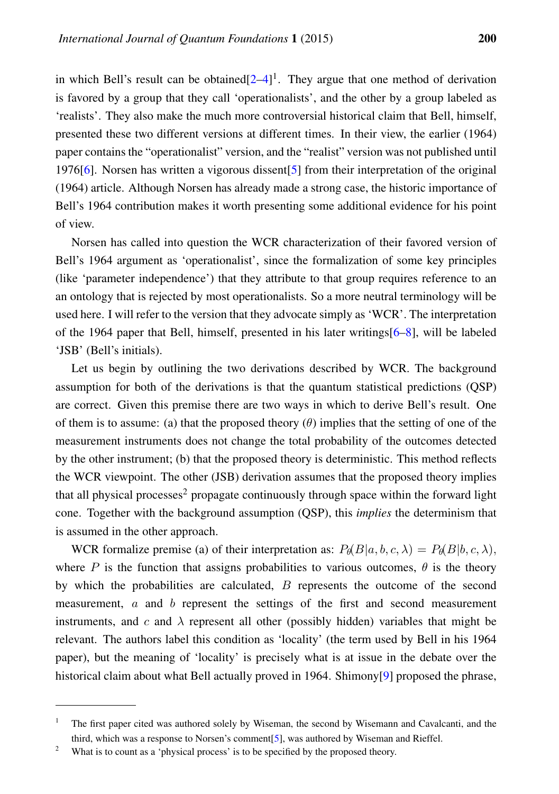in which Bell's result can be obtained $[2-4]$  $[2-4]$ <sup>1</sup>. They argue that one method of derivation is favored by a group that they call 'operationalists', and the other by a group labeled as 'realists'. They also make the much more controversial historical claim that Bell, himself, presented these two different versions at different times. In their view, the earlier (1964) paper contains the "operationalist" version, and the "realist" version was not published until 1976[\[6\]](#page-14-3). Norsen has written a vigorous dissent[\[5\]](#page-14-4) from their interpretation of the original (1964) article. Although Norsen has already made a strong case, the historic importance of Bell's 1964 contribution makes it worth presenting some additional evidence for his point of view.

Norsen has called into question the WCR characterization of their favored version of Bell's 1964 argument as 'operationalist', since the formalization of some key principles (like 'parameter independence') that they attribute to that group requires reference to an an ontology that is rejected by most operationalists. So a more neutral terminology will be used here. I will refer to the version that they advocate simply as 'WCR'. The interpretation of the 1964 paper that Bell, himself, presented in his later writings[\[6](#page-14-3)[–8\]](#page-14-5), will be labeled 'JSB' (Bell's initials).

Let us begin by outlining the two derivations described by WCR. The background assumption for both of the derivations is that the quantum statistical predictions (QSP) are correct. Given this premise there are two ways in which to derive Bell's result. One of them is to assume: (a) that the proposed theory  $(\theta)$  implies that the setting of one of the measurement instruments does not change the total probability of the outcomes detected by the other instrument; (b) that the proposed theory is deterministic. This method reflects the WCR viewpoint. The other (JSB) derivation assumes that the proposed theory implies that all physical processes<sup>2</sup> propagate continuously through space within the forward light cone. Together with the background assumption (QSP), this *implies* the determinism that is assumed in the other approach.

WCR formalize premise (a) of their interpretation as:  $P_{\theta}(B|a, b, c, \lambda) = P_{\theta}(B|b, c, \lambda)$ , where P is the function that assigns probabilities to various outcomes,  $\theta$  is the theory by which the probabilities are calculated,  $B$  represents the outcome of the second measurement, a and b represent the settings of the first and second measurement instruments, and c and  $\lambda$  represent all other (possibly hidden) variables that might be relevant. The authors label this condition as 'locality' (the term used by Bell in his 1964 paper), but the meaning of 'locality' is precisely what is at issue in the debate over the historical claim about what Bell actually proved in 1964. Shimony[\[9\]](#page-14-6) proposed the phrase,

<sup>&</sup>lt;sup>1</sup> The first paper cited was authored solely by Wiseman, the second by Wisemann and Cavalcanti, and the third, which was a response to Norsen's comment[\[5\]](#page-14-4), was authored by Wiseman and Rieffel.

<sup>&</sup>lt;sup>2</sup> What is to count as a 'physical process' is to be specified by the proposed theory.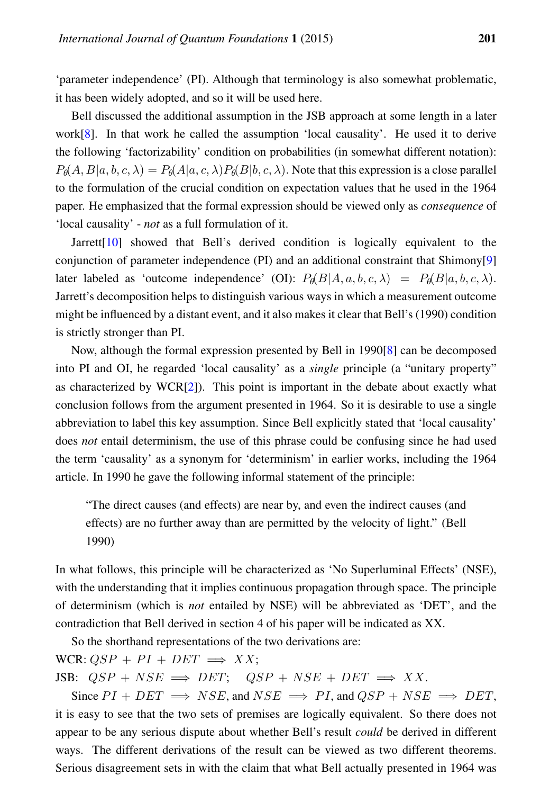'parameter independence' (PI). Although that terminology is also somewhat problematic, it has been widely adopted, and so it will be used here.

Bell discussed the additional assumption in the JSB approach at some length in a later work $[8]$ . In that work he called the assumption 'local causality'. He used it to derive the following 'factorizability' condition on probabilities (in somewhat different notation):  $P_{\theta}(A, B|a, b, c, \lambda) = P_{\theta}(A|a, c, \lambda) P_{\theta}(B|b, c, \lambda)$ . Note that this expression is a close parallel to the formulation of the crucial condition on expectation values that he used in the 1964 paper. He emphasized that the formal expression should be viewed only as *consequence* of 'local causality' - *not* as a full formulation of it.

Jarrett[\[10\]](#page-14-7) showed that Bell's derived condition is logically equivalent to the conjunction of parameter independence (PI) and an additional constraint that Shimony[\[9\]](#page-14-6) later labeled as 'outcome independence' (OI):  $P_{\theta}(B|A, a, b, c, \lambda) = P_{\theta}(B|a, b, c, \lambda)$ . Jarrett's decomposition helps to distinguish various ways in which a measurement outcome might be influenced by a distant event, and it also makes it clear that Bell's (1990) condition is strictly stronger than PI.

Now, although the formal expression presented by Bell in 1990[\[8\]](#page-14-5) can be decomposed into PI and OI, he regarded 'local causality' as a *single* principle (a "unitary property" as characterized by WCR[\[2\]](#page-14-1)). This point is important in the debate about exactly what conclusion follows from the argument presented in 1964. So it is desirable to use a single abbreviation to label this key assumption. Since Bell explicitly stated that 'local causality' does *not* entail determinism, the use of this phrase could be confusing since he had used the term 'causality' as a synonym for 'determinism' in earlier works, including the 1964 article. In 1990 he gave the following informal statement of the principle:

"The direct causes (and effects) are near by, and even the indirect causes (and effects) are no further away than are permitted by the velocity of light." (Bell 1990)

In what follows, this principle will be characterized as 'No Superluminal Effects' (NSE), with the understanding that it implies continuous propagation through space. The principle of determinism (which is *not* entailed by NSE) will be abbreviated as 'DET', and the contradiction that Bell derived in section 4 of his paper will be indicated as XX.

So the shorthand representations of the two derivations are:

WCR:  $QSP + PI + DET \implies XX;$ 

JSB:  $QSP + NSE \implies DET$ ;  $QSP + NSE + DET \implies XX$ .

Since  $PI + DET \implies NSE$ , and  $NSE \implies PI$ , and  $QSP + NSE \implies DET$ , it is easy to see that the two sets of premises are logically equivalent. So there does not appear to be any serious dispute about whether Bell's result *could* be derived in different ways. The different derivations of the result can be viewed as two different theorems. Serious disagreement sets in with the claim that what Bell actually presented in 1964 was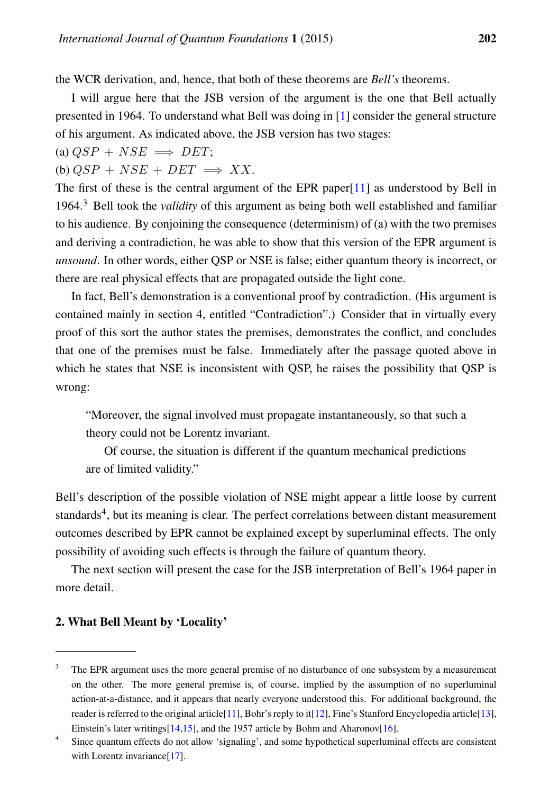the WCR derivation, and, hence, that both of these theorems are *Bell's* theorems.

I will argue here that the JSB version of the argument is the one that Bell actually presented in 1964. To understand what Bell was doing in [\[1\]](#page-14-0) consider the general structure of his argument. As indicated above, the JSB version has two stages:

(a)  $OSP + NSE \implies DET:$ 

(b)  $QSP + NSE + DET \implies XX$ .

The first of these is the central argument of the EPR paper[\[11\]](#page-14-8) as understood by Bell in 1964.<sup>3</sup> Bell took the *validity* of this argument as being both well established and familiar to his audience. By conjoining the consequence (determinism) of (a) with the two premises and deriving a contradiction, he was able to show that this version of the EPR argument is *unsound*. In other words, either OSP or NSE is false; either quantum theory is incorrect, or there are real physical effects that are propagated outside the light cone.

In fact, Bell's demonstration is a conventional proof by contradiction. (His argument is contained mainly in section 4, entitled "Contradiction".) Consider that in virtually every proof of this sort the author states the premises, demonstrates the conflict, and concludes that one of the premises must be false. Immediately after the passage quoted above in which he states that NSE is inconsistent with OSP, he raises the possibility that OSP is wrong:

"Moreover, the signal involved must propagate instantaneously, so that such a theory could not be Lorentz invariant.

Of course, the situation is different if the quantum mechanical predictions are of limited validity."

Bell's description of the possible violation of NSE might appear a little loose by current standards<sup>4</sup>, but its meaning is clear. The perfect correlations between distant measurement outcomes described by EPR cannot be explained except by superluminal effects. The only possibility of avoiding such effects is through the failure of quantum theory.

The next section will present the case for the JSB interpretation of Bell's 1964 paper in more detail.

### 2. What Bell Meant by 'Locality'

<sup>&</sup>lt;sup>3</sup> The EPR argument uses the more general premise of no disturbance of one subsystem by a measurement on the other. The more general premise is, of course, implied by the assumption of no superluminal action-at-a-distance, and it appears that nearly everyone understood this. For additional background, the reader is referred to the original article[\[11\]](#page-14-8), Bohr's reply to it[\[12\]](#page-14-9), Fine's Stanford Encyclopedia article[\[13\]](#page-14-10), Einstein's later writings $[14,15]$  $[14,15]$ , and the 1957 article by Bohm and Aharonov $[16]$ .

<sup>4</sup> Since quantum effects do not allow 'signaling', and some hypothetical superluminal effects are consistent with Lorentz invariance<sup>[\[17\]](#page-15-3)</sup>.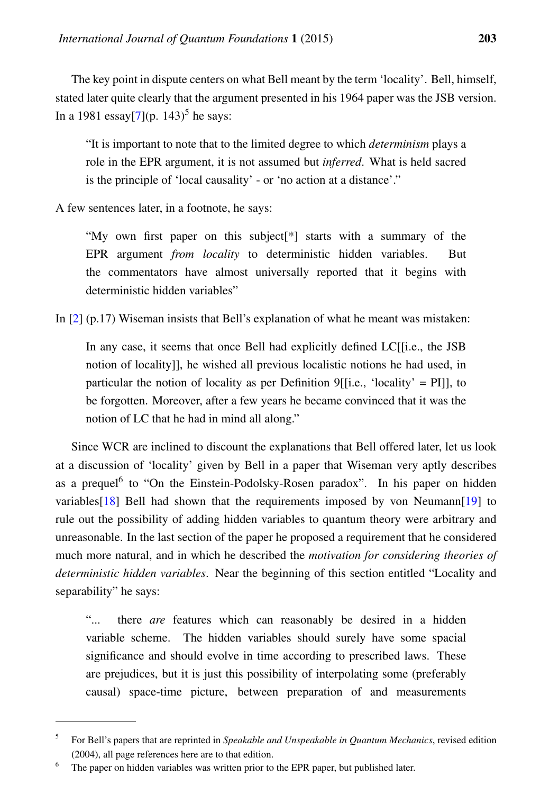The key point in dispute centers on what Bell meant by the term 'locality'. Bell, himself, stated later quite clearly that the argument presented in his 1964 paper was the JSB version. In a 1981 essay $[7]$ (p. 143)<sup>5</sup> he says:

"It is important to note that to the limited degree to which *determinism* plays a role in the EPR argument, it is not assumed but *inferred*. What is held sacred is the principle of 'local causality' - or 'no action at a distance'."

A few sentences later, in a footnote, he says:

"My own first paper on this subject[\*] starts with a summary of the EPR argument *from locality* to deterministic hidden variables. But the commentators have almost universally reported that it begins with deterministic hidden variables"

In [\[2\]](#page-14-1) (p.17) Wiseman insists that Bell's explanation of what he meant was mistaken:

In any case, it seems that once Bell had explicitly defined LC[[i.e., the JSB notion of locality]], he wished all previous localistic notions he had used, in particular the notion of locality as per Definition 9[[i.e., 'locality' = PI]], to be forgotten. Moreover, after a few years he became convinced that it was the notion of LC that he had in mind all along."

Since WCR are inclined to discount the explanations that Bell offered later, let us look at a discussion of 'locality' given by Bell in a paper that Wiseman very aptly describes as a prequel<sup>6</sup> to "On the Einstein-Podolsky-Rosen paradox". In his paper on hidden variables[\[18\]](#page-15-4) Bell had shown that the requirements imposed by von Neumann[\[19\]](#page-15-5) to rule out the possibility of adding hidden variables to quantum theory were arbitrary and unreasonable. In the last section of the paper he proposed a requirement that he considered much more natural, and in which he described the *motivation for considering theories of deterministic hidden variables*. Near the beginning of this section entitled "Locality and separability" he says:

"... there *are* features which can reasonably be desired in a hidden variable scheme. The hidden variables should surely have some spacial significance and should evolve in time according to prescribed laws. These are prejudices, but it is just this possibility of interpolating some (preferably causal) space-time picture, between preparation of and measurements

<sup>&</sup>lt;sup>5</sup> For Bell's papers that are reprinted in *Speakable and Unspeakable in Quantum Mechanics*, revised edition (2004), all page references here are to that edition.

<sup>6</sup> The paper on hidden variables was written prior to the EPR paper, but published later.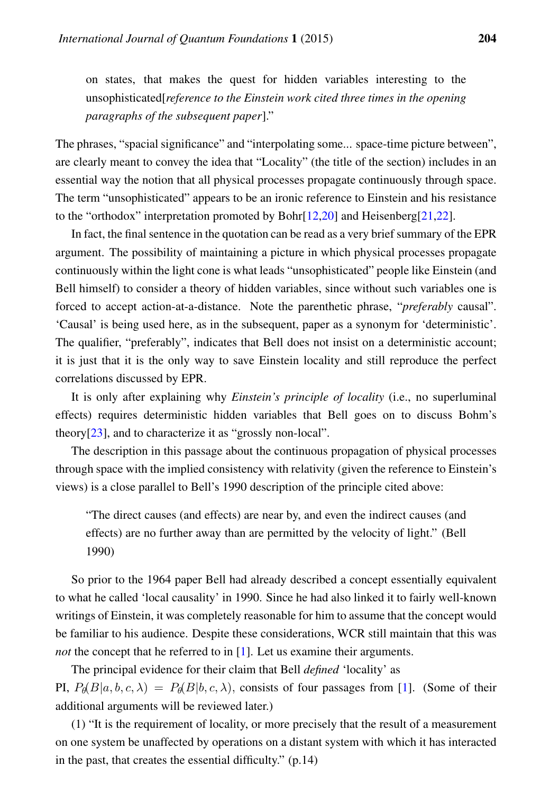on states, that makes the quest for hidden variables interesting to the unsophisticated[*reference to the Einstein work cited three times in the opening paragraphs of the subsequent paper*]."

The phrases, "spacial significance" and "interpolating some... space-time picture between", are clearly meant to convey the idea that "Locality" (the title of the section) includes in an essential way the notion that all physical processes propagate continuously through space. The term "unsophisticated" appears to be an ironic reference to Einstein and his resistance to the "orthodox" interpretation promoted by Bohr[\[12](#page-14-9)[,20\]](#page-15-6) and Heisenberg[\[21](#page-15-7)[,22\]](#page-15-8).

In fact, the final sentence in the quotation can be read as a very brief summary of the EPR argument. The possibility of maintaining a picture in which physical processes propagate continuously within the light cone is what leads "unsophisticated" people like Einstein (and Bell himself) to consider a theory of hidden variables, since without such variables one is forced to accept action-at-a-distance. Note the parenthetic phrase, "*preferably* causal". 'Causal' is being used here, as in the subsequent, paper as a synonym for 'deterministic'. The qualifier, "preferably", indicates that Bell does not insist on a deterministic account; it is just that it is the only way to save Einstein locality and still reproduce the perfect correlations discussed by EPR.

It is only after explaining why *Einstein's principle of locality* (i.e., no superluminal effects) requires deterministic hidden variables that Bell goes on to discuss Bohm's theory[\[23\]](#page-15-9), and to characterize it as "grossly non-local".

The description in this passage about the continuous propagation of physical processes through space with the implied consistency with relativity (given the reference to Einstein's views) is a close parallel to Bell's 1990 description of the principle cited above:

"The direct causes (and effects) are near by, and even the indirect causes (and effects) are no further away than are permitted by the velocity of light." (Bell 1990)

So prior to the 1964 paper Bell had already described a concept essentially equivalent to what he called 'local causality' in 1990. Since he had also linked it to fairly well-known writings of Einstein, it was completely reasonable for him to assume that the concept would be familiar to his audience. Despite these considerations, WCR still maintain that this was *not* the concept that he referred to in [\[1\]](#page-14-0). Let us examine their arguments.

The principal evidence for their claim that Bell *defined* 'locality' as PI,  $P_{\theta}(B|a, b, c, \lambda) = P_{\theta}(B|b, c, \lambda)$ , consists of four passages from [\[1\]](#page-14-0). (Some of their additional arguments will be reviewed later.)

(1) "It is the requirement of locality, or more precisely that the result of a measurement on one system be unaffected by operations on a distant system with which it has interacted in the past, that creates the essential difficulty." (p.14)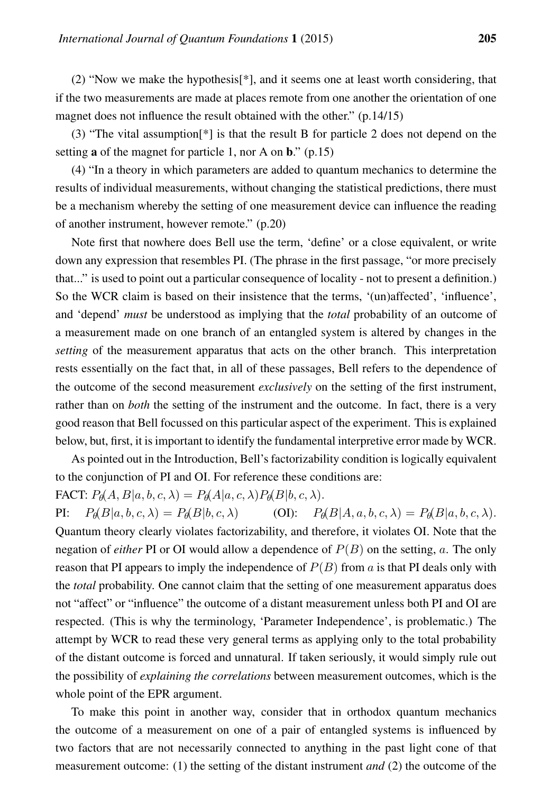(2) "Now we make the hypothesis[\*], and it seems one at least worth considering, that if the two measurements are made at places remote from one another the orientation of one magnet does not influence the result obtained with the other." (p.14/15)

(3) "The vital assumption[\*] is that the result B for particle 2 does not depend on the setting **a** of the magnet for particle 1, nor A on  $\mathbf{b}$ ." (p.15)

(4) "In a theory in which parameters are added to quantum mechanics to determine the results of individual measurements, without changing the statistical predictions, there must be a mechanism whereby the setting of one measurement device can influence the reading of another instrument, however remote." (p.20)

Note first that nowhere does Bell use the term, 'define' or a close equivalent, or write down any expression that resembles PI. (The phrase in the first passage, "or more precisely that..." is used to point out a particular consequence of locality - not to present a definition.) So the WCR claim is based on their insistence that the terms, '(un)affected', 'influence', and 'depend' *must* be understood as implying that the *total* probability of an outcome of a measurement made on one branch of an entangled system is altered by changes in the *setting* of the measurement apparatus that acts on the other branch. This interpretation rests essentially on the fact that, in all of these passages, Bell refers to the dependence of the outcome of the second measurement *exclusively* on the setting of the first instrument, rather than on *both* the setting of the instrument and the outcome. In fact, there is a very good reason that Bell focussed on this particular aspect of the experiment. This is explained below, but, first, it is important to identify the fundamental interpretive error made by WCR.

As pointed out in the Introduction, Bell's factorizability condition is logically equivalent to the conjunction of PI and OI. For reference these conditions are:

FACT:  $P_{\theta}(A, B|a, b, c, \lambda) = P_{\theta}(A|a, c, \lambda) P_{\theta}(B|b, c, \lambda).$ 

PI:  $P_{\theta}(B|a, b, c, \lambda) = P_{\theta}(B|b, c, \lambda)$  (OI):  $P_{\theta}(B|A, a, b, c, \lambda) = P_{\theta}(B|a, b, c, \lambda)$ . Quantum theory clearly violates factorizability, and therefore, it violates OI. Note that the negation of *either* PI or OI would allow a dependence of  $P(B)$  on the setting, a. The only reason that PI appears to imply the independence of  $P(B)$  from a is that PI deals only with the *total* probability. One cannot claim that the setting of one measurement apparatus does not "affect" or "influence" the outcome of a distant measurement unless both PI and OI are respected. (This is why the terminology, 'Parameter Independence', is problematic.) The attempt by WCR to read these very general terms as applying only to the total probability of the distant outcome is forced and unnatural. If taken seriously, it would simply rule out the possibility of *explaining the correlations* between measurement outcomes, which is the whole point of the EPR argument.

To make this point in another way, consider that in orthodox quantum mechanics the outcome of a measurement on one of a pair of entangled systems is influenced by two factors that are not necessarily connected to anything in the past light cone of that measurement outcome: (1) the setting of the distant instrument *and* (2) the outcome of the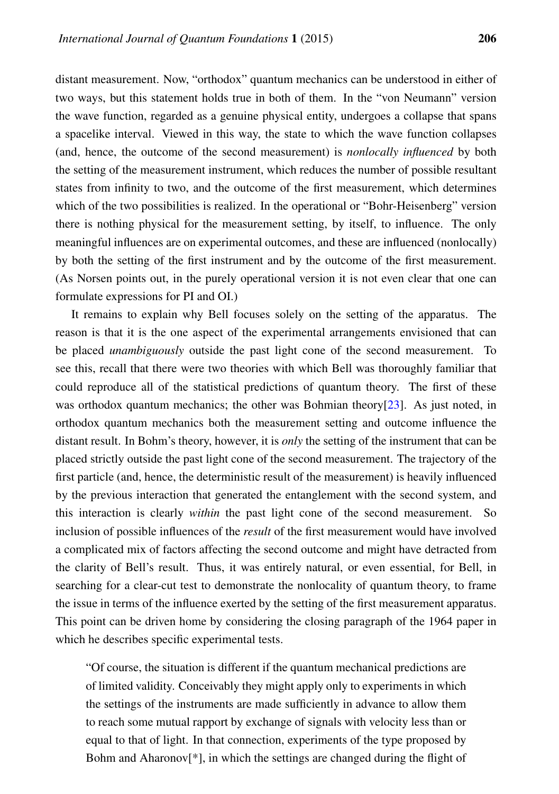distant measurement. Now, "orthodox" quantum mechanics can be understood in either of two ways, but this statement holds true in both of them. In the "von Neumann" version the wave function, regarded as a genuine physical entity, undergoes a collapse that spans a spacelike interval. Viewed in this way, the state to which the wave function collapses (and, hence, the outcome of the second measurement) is *nonlocally influenced* by both the setting of the measurement instrument, which reduces the number of possible resultant states from infinity to two, and the outcome of the first measurement, which determines which of the two possibilities is realized. In the operational or "Bohr-Heisenberg" version there is nothing physical for the measurement setting, by itself, to influence. The only meaningful influences are on experimental outcomes, and these are influenced (nonlocally) by both the setting of the first instrument and by the outcome of the first measurement. (As Norsen points out, in the purely operational version it is not even clear that one can formulate expressions for PI and OI.)

It remains to explain why Bell focuses solely on the setting of the apparatus. The reason is that it is the one aspect of the experimental arrangements envisioned that can be placed *unambiguously* outside the past light cone of the second measurement. To see this, recall that there were two theories with which Bell was thoroughly familiar that could reproduce all of the statistical predictions of quantum theory. The first of these was orthodox quantum mechanics; the other was Bohmian theory[\[23\]](#page-15-9). As just noted, in orthodox quantum mechanics both the measurement setting and outcome influence the distant result. In Bohm's theory, however, it is *only* the setting of the instrument that can be placed strictly outside the past light cone of the second measurement. The trajectory of the first particle (and, hence, the deterministic result of the measurement) is heavily influenced by the previous interaction that generated the entanglement with the second system, and this interaction is clearly *within* the past light cone of the second measurement. So inclusion of possible influences of the *result* of the first measurement would have involved a complicated mix of factors affecting the second outcome and might have detracted from the clarity of Bell's result. Thus, it was entirely natural, or even essential, for Bell, in searching for a clear-cut test to demonstrate the nonlocality of quantum theory, to frame the issue in terms of the influence exerted by the setting of the first measurement apparatus. This point can be driven home by considering the closing paragraph of the 1964 paper in which he describes specific experimental tests.

"Of course, the situation is different if the quantum mechanical predictions are of limited validity. Conceivably they might apply only to experiments in which the settings of the instruments are made sufficiently in advance to allow them to reach some mutual rapport by exchange of signals with velocity less than or equal to that of light. In that connection, experiments of the type proposed by Bohm and Aharonov[\*], in which the settings are changed during the flight of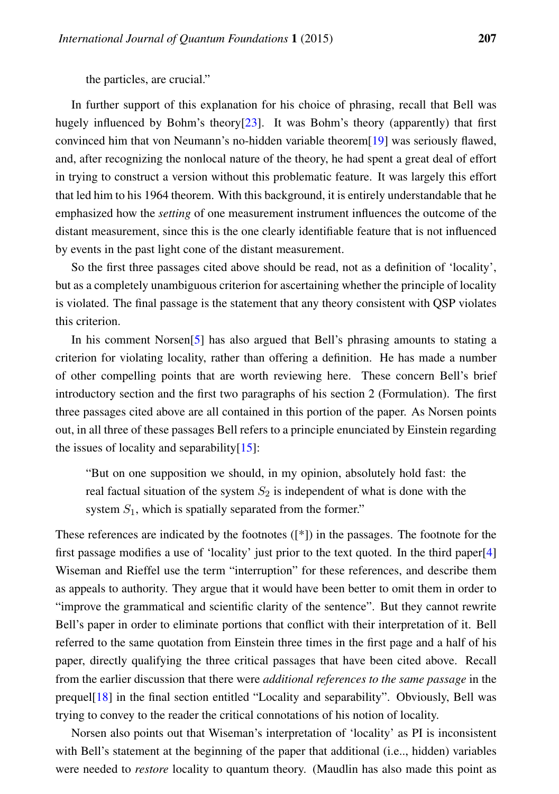the particles, are crucial."

In further support of this explanation for his choice of phrasing, recall that Bell was hugely influenced by Bohm's theory[\[23\]](#page-15-9). It was Bohm's theory (apparently) that first convinced him that von Neumann's no-hidden variable theorem[\[19\]](#page-15-5) was seriously flawed, and, after recognizing the nonlocal nature of the theory, he had spent a great deal of effort in trying to construct a version without this problematic feature. It was largely this effort that led him to his 1964 theorem. With this background, it is entirely understandable that he emphasized how the *setting* of one measurement instrument influences the outcome of the distant measurement, since this is the one clearly identifiable feature that is not influenced by events in the past light cone of the distant measurement.

So the first three passages cited above should be read, not as a definition of 'locality', but as a completely unambiguous criterion for ascertaining whether the principle of locality is violated. The final passage is the statement that any theory consistent with QSP violates this criterion.

In his comment Norsen[\[5\]](#page-14-4) has also argued that Bell's phrasing amounts to stating a criterion for violating locality, rather than offering a definition. He has made a number of other compelling points that are worth reviewing here. These concern Bell's brief introductory section and the first two paragraphs of his section 2 (Formulation). The first three passages cited above are all contained in this portion of the paper. As Norsen points out, in all three of these passages Bell refers to a principle enunciated by Einstein regarding the issues of locality and separability $[15]$ :

"But on one supposition we should, in my opinion, absolutely hold fast: the real factual situation of the system  $S_2$  is independent of what is done with the system  $S_1$ , which is spatially separated from the former."

These references are indicated by the footnotes ([\*]) in the passages. The footnote for the first passage modifies a use of 'locality' just prior to the text quoted. In the third paper[\[4\]](#page-14-2) Wiseman and Rieffel use the term "interruption" for these references, and describe them as appeals to authority. They argue that it would have been better to omit them in order to "improve the grammatical and scientific clarity of the sentence". But they cannot rewrite Bell's paper in order to eliminate portions that conflict with their interpretation of it. Bell referred to the same quotation from Einstein three times in the first page and a half of his paper, directly qualifying the three critical passages that have been cited above. Recall from the earlier discussion that there were *additional references to the same passage* in the prequel[\[18\]](#page-15-4) in the final section entitled "Locality and separability". Obviously, Bell was trying to convey to the reader the critical connotations of his notion of locality.

Norsen also points out that Wiseman's interpretation of 'locality' as PI is inconsistent with Bell's statement at the beginning of the paper that additional (i.e.., hidden) variables were needed to *restore* locality to quantum theory. (Maudlin has also made this point as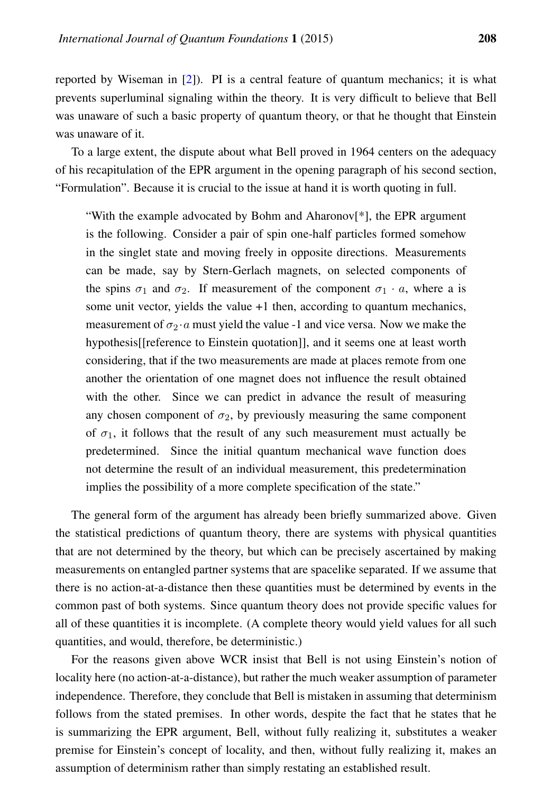reported by Wiseman in [\[2\]](#page-14-1)). PI is a central feature of quantum mechanics; it is what prevents superluminal signaling within the theory. It is very difficult to believe that Bell was unaware of such a basic property of quantum theory, or that he thought that Einstein was unaware of it.

To a large extent, the dispute about what Bell proved in 1964 centers on the adequacy of his recapitulation of the EPR argument in the opening paragraph of his second section, "Formulation". Because it is crucial to the issue at hand it is worth quoting in full.

"With the example advocated by Bohm and Aharonov[\*], the EPR argument is the following. Consider a pair of spin one-half particles formed somehow in the singlet state and moving freely in opposite directions. Measurements can be made, say by Stern-Gerlach magnets, on selected components of the spins  $\sigma_1$  and  $\sigma_2$ . If measurement of the component  $\sigma_1 \cdot a$ , where a is some unit vector, yields the value +1 then, according to quantum mechanics, measurement of  $\sigma_2 \cdot a$  must yield the value -1 and vice versa. Now we make the hypothesis[[reference to Einstein quotation]], and it seems one at least worth considering, that if the two measurements are made at places remote from one another the orientation of one magnet does not influence the result obtained with the other. Since we can predict in advance the result of measuring any chosen component of  $\sigma_2$ , by previously measuring the same component of  $\sigma_1$ , it follows that the result of any such measurement must actually be predetermined. Since the initial quantum mechanical wave function does not determine the result of an individual measurement, this predetermination implies the possibility of a more complete specification of the state."

The general form of the argument has already been briefly summarized above. Given the statistical predictions of quantum theory, there are systems with physical quantities that are not determined by the theory, but which can be precisely ascertained by making measurements on entangled partner systems that are spacelike separated. If we assume that there is no action-at-a-distance then these quantities must be determined by events in the common past of both systems. Since quantum theory does not provide specific values for all of these quantities it is incomplete. (A complete theory would yield values for all such quantities, and would, therefore, be deterministic.)

For the reasons given above WCR insist that Bell is not using Einstein's notion of locality here (no action-at-a-distance), but rather the much weaker assumption of parameter independence. Therefore, they conclude that Bell is mistaken in assuming that determinism follows from the stated premises. In other words, despite the fact that he states that he is summarizing the EPR argument, Bell, without fully realizing it, substitutes a weaker premise for Einstein's concept of locality, and then, without fully realizing it, makes an assumption of determinism rather than simply restating an established result.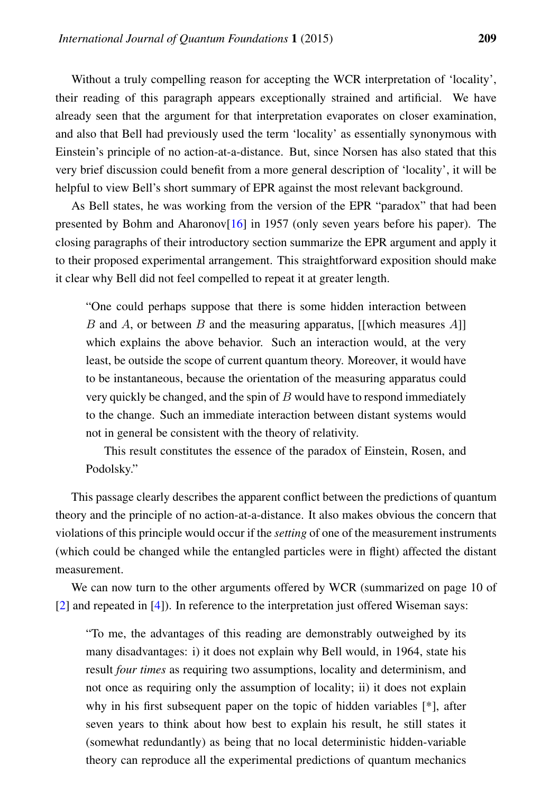Without a truly compelling reason for accepting the WCR interpretation of 'locality', their reading of this paragraph appears exceptionally strained and artificial. We have already seen that the argument for that interpretation evaporates on closer examination, and also that Bell had previously used the term 'locality' as essentially synonymous with Einstein's principle of no action-at-a-distance. But, since Norsen has also stated that this very brief discussion could benefit from a more general description of 'locality', it will be helpful to view Bell's short summary of EPR against the most relevant background.

As Bell states, he was working from the version of the EPR "paradox" that had been presented by Bohm and Aharonov $[16]$  in 1957 (only seven years before his paper). The closing paragraphs of their introductory section summarize the EPR argument and apply it to their proposed experimental arrangement. This straightforward exposition should make it clear why Bell did not feel compelled to repeat it at greater length.

"One could perhaps suppose that there is some hidden interaction between B and A, or between B and the measuring apparatus, [[which measures  $A$ ]] which explains the above behavior. Such an interaction would, at the very least, be outside the scope of current quantum theory. Moreover, it would have to be instantaneous, because the orientation of the measuring apparatus could very quickly be changed, and the spin of  $B$  would have to respond immediately to the change. Such an immediate interaction between distant systems would not in general be consistent with the theory of relativity.

This result constitutes the essence of the paradox of Einstein, Rosen, and Podolsky."

This passage clearly describes the apparent conflict between the predictions of quantum theory and the principle of no action-at-a-distance. It also makes obvious the concern that violations of this principle would occur if the *setting* of one of the measurement instruments (which could be changed while the entangled particles were in flight) affected the distant measurement.

We can now turn to the other arguments offered by WCR (summarized on page 10 of [\[2\]](#page-14-1) and repeated in [\[4\]](#page-14-2)). In reference to the interpretation just offered Wiseman says:

"To me, the advantages of this reading are demonstrably outweighed by its many disadvantages: i) it does not explain why Bell would, in 1964, state his result *four times* as requiring two assumptions, locality and determinism, and not once as requiring only the assumption of locality; ii) it does not explain why in his first subsequent paper on the topic of hidden variables [\*], after seven years to think about how best to explain his result, he still states it (somewhat redundantly) as being that no local deterministic hidden-variable theory can reproduce all the experimental predictions of quantum mechanics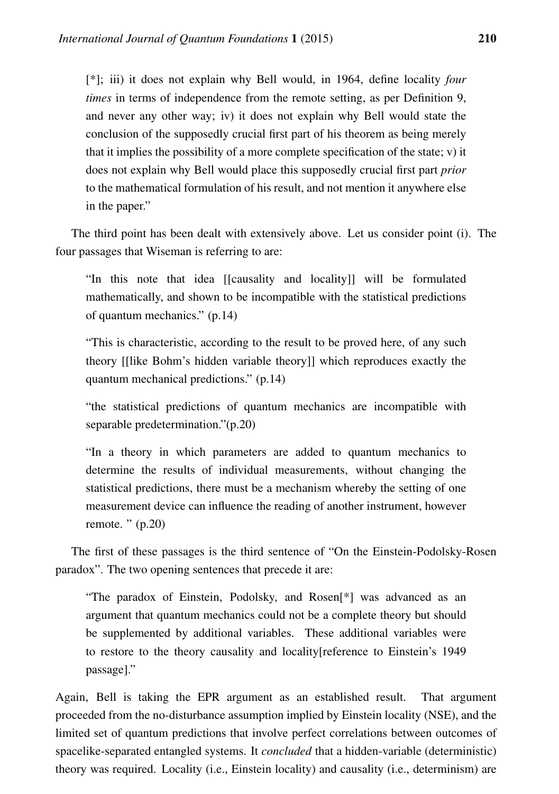[\*]; iii) it does not explain why Bell would, in 1964, define locality *four times* in terms of independence from the remote setting, as per Definition 9, and never any other way; iv) it does not explain why Bell would state the conclusion of the supposedly crucial first part of his theorem as being merely that it implies the possibility of a more complete specification of the state; v) it does not explain why Bell would place this supposedly crucial first part *prior* to the mathematical formulation of his result, and not mention it anywhere else in the paper."

The third point has been dealt with extensively above. Let us consider point (i). The four passages that Wiseman is referring to are:

"In this note that idea [[causality and locality]] will be formulated mathematically, and shown to be incompatible with the statistical predictions of quantum mechanics." (p.14)

"This is characteristic, according to the result to be proved here, of any such theory [[like Bohm's hidden variable theory]] which reproduces exactly the quantum mechanical predictions." (p.14)

"the statistical predictions of quantum mechanics are incompatible with separable predetermination."(p.20)

"In a theory in which parameters are added to quantum mechanics to determine the results of individual measurements, without changing the statistical predictions, there must be a mechanism whereby the setting of one measurement device can influence the reading of another instrument, however remote. " (p.20)

The first of these passages is the third sentence of "On the Einstein-Podolsky-Rosen paradox". The two opening sentences that precede it are:

"The paradox of Einstein, Podolsky, and Rosen[\*] was advanced as an argument that quantum mechanics could not be a complete theory but should be supplemented by additional variables. These additional variables were to restore to the theory causality and locality[reference to Einstein's 1949 passage]."

Again, Bell is taking the EPR argument as an established result. That argument proceeded from the no-disturbance assumption implied by Einstein locality (NSE), and the limited set of quantum predictions that involve perfect correlations between outcomes of spacelike-separated entangled systems. It *concluded* that a hidden-variable (deterministic) theory was required. Locality (i.e., Einstein locality) and causality (i.e., determinism) are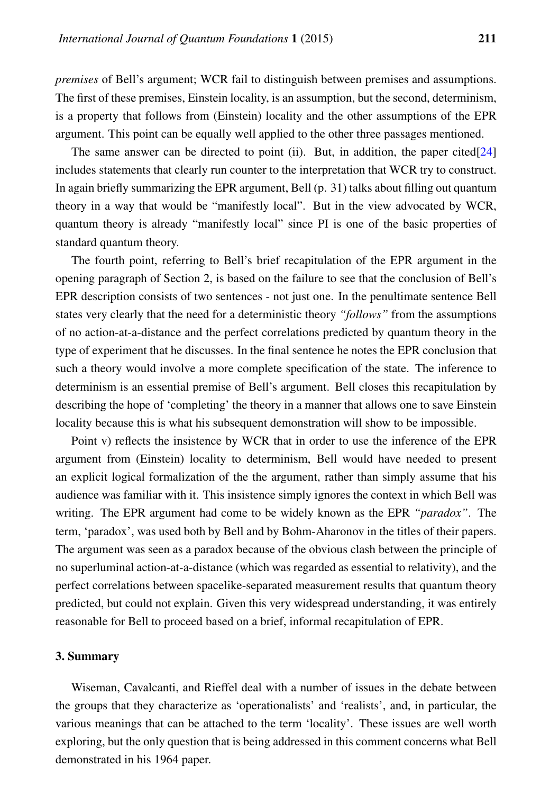*premises* of Bell's argument; WCR fail to distinguish between premises and assumptions. The first of these premises, Einstein locality, is an assumption, but the second, determinism, is a property that follows from (Einstein) locality and the other assumptions of the EPR argument. This point can be equally well applied to the other three passages mentioned.

The same answer can be directed to point (ii). But, in addition, the paper cited[\[24\]](#page-15-10) includes statements that clearly run counter to the interpretation that WCR try to construct. In again briefly summarizing the EPR argument, Bell (p. 31) talks about filling out quantum theory in a way that would be "manifestly local". But in the view advocated by WCR, quantum theory is already "manifestly local" since PI is one of the basic properties of standard quantum theory.

The fourth point, referring to Bell's brief recapitulation of the EPR argument in the opening paragraph of Section 2, is based on the failure to see that the conclusion of Bell's EPR description consists of two sentences - not just one. In the penultimate sentence Bell states very clearly that the need for a deterministic theory *"follows"* from the assumptions of no action-at-a-distance and the perfect correlations predicted by quantum theory in the type of experiment that he discusses. In the final sentence he notes the EPR conclusion that such a theory would involve a more complete specification of the state. The inference to determinism is an essential premise of Bell's argument. Bell closes this recapitulation by describing the hope of 'completing' the theory in a manner that allows one to save Einstein locality because this is what his subsequent demonstration will show to be impossible.

Point v) reflects the insistence by WCR that in order to use the inference of the EPR argument from (Einstein) locality to determinism, Bell would have needed to present an explicit logical formalization of the the argument, rather than simply assume that his audience was familiar with it. This insistence simply ignores the context in which Bell was writing. The EPR argument had come to be widely known as the EPR *"paradox"*. The term, 'paradox', was used both by Bell and by Bohm-Aharonov in the titles of their papers. The argument was seen as a paradox because of the obvious clash between the principle of no superluminal action-at-a-distance (which was regarded as essential to relativity), and the perfect correlations between spacelike-separated measurement results that quantum theory predicted, but could not explain. Given this very widespread understanding, it was entirely reasonable for Bell to proceed based on a brief, informal recapitulation of EPR.

#### 3. Summary

Wiseman, Cavalcanti, and Rieffel deal with a number of issues in the debate between the groups that they characterize as 'operationalists' and 'realists', and, in particular, the various meanings that can be attached to the term 'locality'. These issues are well worth exploring, but the only question that is being addressed in this comment concerns what Bell demonstrated in his 1964 paper.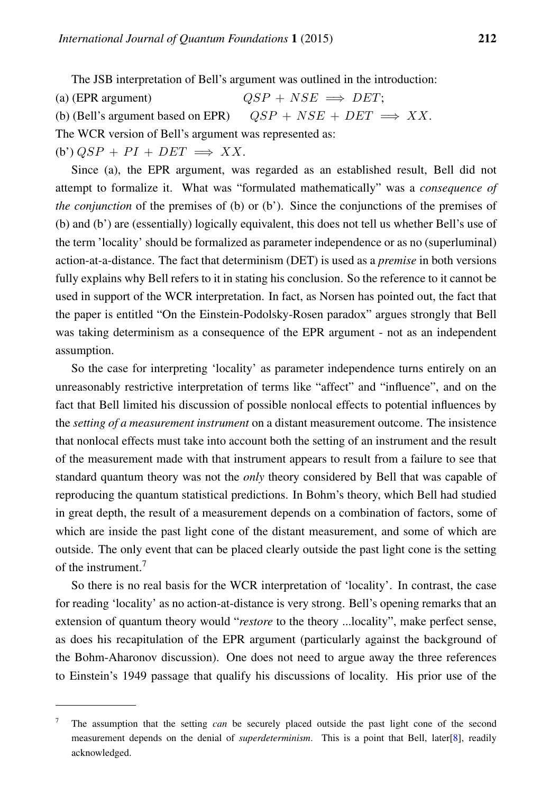The JSB interpretation of Bell's argument was outlined in the introduction:

- (a) (EPR argument)  $OSP + NSE \implies DET;$
- (b) (Bell's argument based on EPR)  $QSP + NSE + DET \implies XX$ .

The WCR version of Bell's argument was represented as:

(b')  $OSP + PI + DET \implies XX$ .

Since (a), the EPR argument, was regarded as an established result, Bell did not attempt to formalize it. What was "formulated mathematically" was a *consequence of the conjunction* of the premises of (b) or (b'). Since the conjunctions of the premises of (b) and (b') are (essentially) logically equivalent, this does not tell us whether Bell's use of the term 'locality' should be formalized as parameter independence or as no (superluminal) action-at-a-distance. The fact that determinism (DET) is used as a *premise* in both versions fully explains why Bell refers to it in stating his conclusion. So the reference to it cannot be used in support of the WCR interpretation. In fact, as Norsen has pointed out, the fact that the paper is entitled "On the Einstein-Podolsky-Rosen paradox" argues strongly that Bell was taking determinism as a consequence of the EPR argument - not as an independent assumption.

So the case for interpreting 'locality' as parameter independence turns entirely on an unreasonably restrictive interpretation of terms like "affect" and "influence", and on the fact that Bell limited his discussion of possible nonlocal effects to potential influences by the *setting of a measurement instrument* on a distant measurement outcome. The insistence that nonlocal effects must take into account both the setting of an instrument and the result of the measurement made with that instrument appears to result from a failure to see that standard quantum theory was not the *only* theory considered by Bell that was capable of reproducing the quantum statistical predictions. In Bohm's theory, which Bell had studied in great depth, the result of a measurement depends on a combination of factors, some of which are inside the past light cone of the distant measurement, and some of which are outside. The only event that can be placed clearly outside the past light cone is the setting of the instrument.<sup>7</sup>

So there is no real basis for the WCR interpretation of 'locality'. In contrast, the case for reading 'locality' as no action-at-distance is very strong. Bell's opening remarks that an extension of quantum theory would "*restore* to the theory ...locality", make perfect sense, as does his recapitulation of the EPR argument (particularly against the background of the Bohm-Aharonov discussion). One does not need to argue away the three references to Einstein's 1949 passage that qualify his discussions of locality. His prior use of the

<sup>7</sup> The assumption that the setting *can* be securely placed outside the past light cone of the second measurement depends on the denial of *superdeterminism*. This is a point that Bell, later[\[8\]](#page-14-5), readily acknowledged.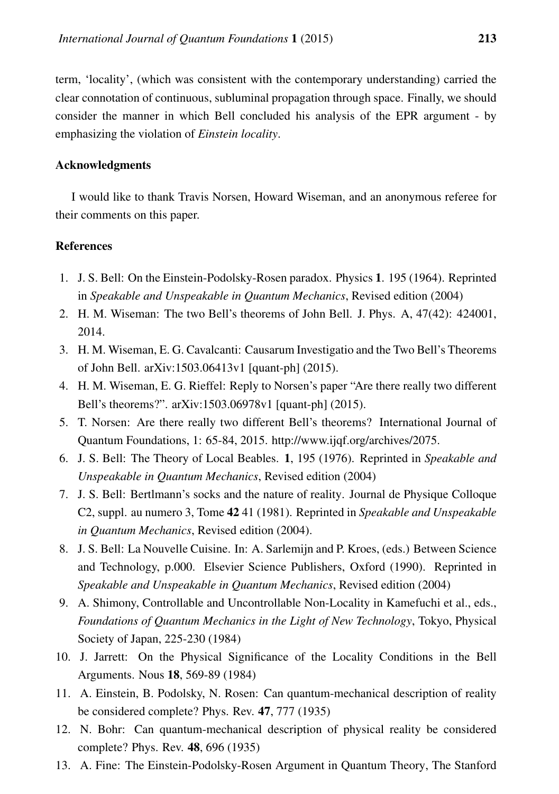term, 'locality', (which was consistent with the contemporary understanding) carried the clear connotation of continuous, subluminal propagation through space. Finally, we should consider the manner in which Bell concluded his analysis of the EPR argument - by emphasizing the violation of *Einstein locality*.

#### Acknowledgments

I would like to thank Travis Norsen, Howard Wiseman, and an anonymous referee for their comments on this paper.

#### **References**

- <span id="page-14-0"></span>1. J. S. Bell: On the Einstein-Podolsky-Rosen paradox. Physics 1. 195 (1964). Reprinted in *Speakable and Unspeakable in Quantum Mechanics*, Revised edition (2004)
- <span id="page-14-1"></span>2. H. M. Wiseman: The two Bell's theorems of John Bell. J. Phys. A, 47(42): 424001, 2014.
- 3. H. M. Wiseman, E. G. Cavalcanti: Causarum Investigatio and the Two Bell's Theorems of John Bell. arXiv:1503.06413v1 [quant-ph] (2015).
- <span id="page-14-2"></span>4. H. M. Wiseman, E. G. Rieffel: Reply to Norsen's paper "Are there really two different Bell's theorems?". arXiv:1503.06978v1 [quant-ph] (2015).
- <span id="page-14-4"></span>5. T. Norsen: Are there really two different Bell's theorems? International Journal of Quantum Foundations, 1: 65-84, 2015. http://www.ijqf.org/archives/2075.
- <span id="page-14-3"></span>6. J. S. Bell: The Theory of Local Beables. 1, 195 (1976). Reprinted in *Speakable and Unspeakable in Quantum Mechanics*, Revised edition (2004)
- <span id="page-14-11"></span>7. J. S. Bell: Bertlmann's socks and the nature of reality. Journal de Physique Colloque C2, suppl. au numero 3, Tome 42 41 (1981). Reprinted in *Speakable and Unspeakable in Quantum Mechanics*, Revised edition (2004).
- <span id="page-14-5"></span>8. J. S. Bell: La Nouvelle Cuisine. In: A. Sarlemijn and P. Kroes, (eds.) Between Science and Technology, p.000. Elsevier Science Publishers, Oxford (1990). Reprinted in *Speakable and Unspeakable in Quantum Mechanics*, Revised edition (2004)
- <span id="page-14-6"></span>9. A. Shimony, Controllable and Uncontrollable Non-Locality in Kamefuchi et al., eds., *Foundations of Quantum Mechanics in the Light of New Technology*, Tokyo, Physical Society of Japan, 225-230 (1984)
- <span id="page-14-7"></span>10. J. Jarrett: On the Physical Significance of the Locality Conditions in the Bell Arguments. Nous 18, 569-89 (1984)
- <span id="page-14-8"></span>11. A. Einstein, B. Podolsky, N. Rosen: Can quantum-mechanical description of reality be considered complete? Phys. Rev. 47, 777 (1935)
- <span id="page-14-9"></span>12. N. Bohr: Can quantum-mechanical description of physical reality be considered complete? Phys. Rev. 48, 696 (1935)
- <span id="page-14-10"></span>13. A. Fine: The Einstein-Podolsky-Rosen Argument in Quantum Theory, The Stanford